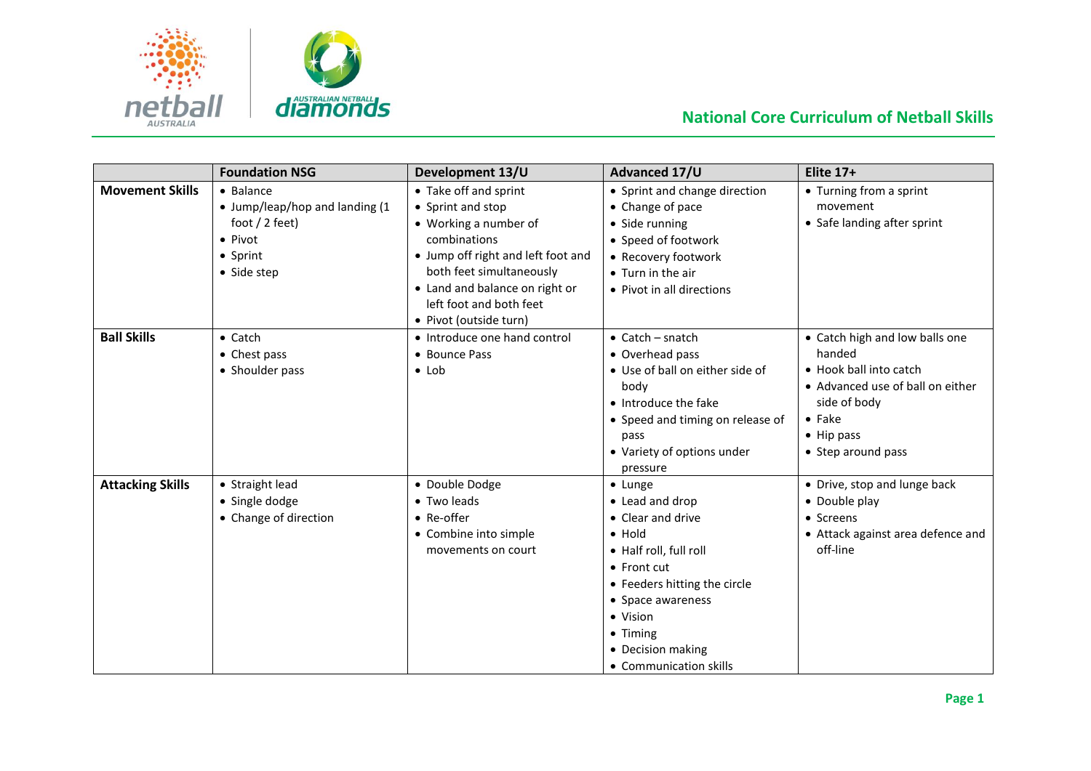

## **National Core Curriculum of Netball Skills**

|                         | <b>Foundation NSG</b>          | Development 13/U                   | Advanced 17/U                    | <b>Elite 17+</b>                  |
|-------------------------|--------------------------------|------------------------------------|----------------------------------|-----------------------------------|
| <b>Movement Skills</b>  | $\bullet$ Balance              | • Take off and sprint              | • Sprint and change direction    | • Turning from a sprint           |
|                         | • Jump/leap/hop and landing (1 | • Sprint and stop                  | • Change of pace                 | movement                          |
|                         | foot $/$ 2 feet)               | • Working a number of              | • Side running                   | • Safe landing after sprint       |
|                         | $\bullet$ Pivot                | combinations                       | • Speed of footwork              |                                   |
|                         | • Sprint                       | • Jump off right and left foot and | • Recovery footwork              |                                   |
|                         | • Side step                    | both feet simultaneously           | • Turn in the air                |                                   |
|                         |                                | • Land and balance on right or     | • Pivot in all directions        |                                   |
|                         |                                | left foot and both feet            |                                  |                                   |
|                         |                                | • Pivot (outside turn)             |                                  |                                   |
| <b>Ball Skills</b>      | $\bullet$ Catch                | • Introduce one hand control       | $\bullet$ Catch – snatch         | • Catch high and low balls one    |
|                         | • Chest pass                   | • Bounce Pass                      | • Overhead pass                  | handed                            |
|                         | • Shoulder pass                | $\bullet$ Lob                      | • Use of ball on either side of  | • Hook ball into catch            |
|                         |                                |                                    | body                             | • Advanced use of ball on either  |
|                         |                                |                                    | • Introduce the fake             | side of body                      |
|                         |                                |                                    | • Speed and timing on release of | $\bullet$ Fake                    |
|                         |                                |                                    | pass                             | $\bullet$ Hip pass                |
|                         |                                |                                    | • Variety of options under       | • Step around pass                |
|                         |                                |                                    | pressure                         |                                   |
| <b>Attacking Skills</b> | • Straight lead                | · Double Dodge                     | • Lunge                          | • Drive, stop and lunge back      |
|                         | • Single dodge                 | • Two leads                        | • Lead and drop                  | • Double play                     |
|                         | • Change of direction          | $\bullet$ Re-offer                 | • Clear and drive                | • Screens                         |
|                         |                                | • Combine into simple              | $\bullet$ Hold                   | • Attack against area defence and |
|                         |                                | movements on court                 | • Half roll, full roll           | off-line                          |
|                         |                                |                                    | • Front cut                      |                                   |
|                         |                                |                                    | • Feeders hitting the circle     |                                   |
|                         |                                |                                    | • Space awareness                |                                   |
|                         |                                |                                    | • Vision                         |                                   |
|                         |                                |                                    | $\bullet$ Timing                 |                                   |
|                         |                                |                                    | • Decision making                |                                   |
|                         |                                |                                    | • Communication skills           |                                   |